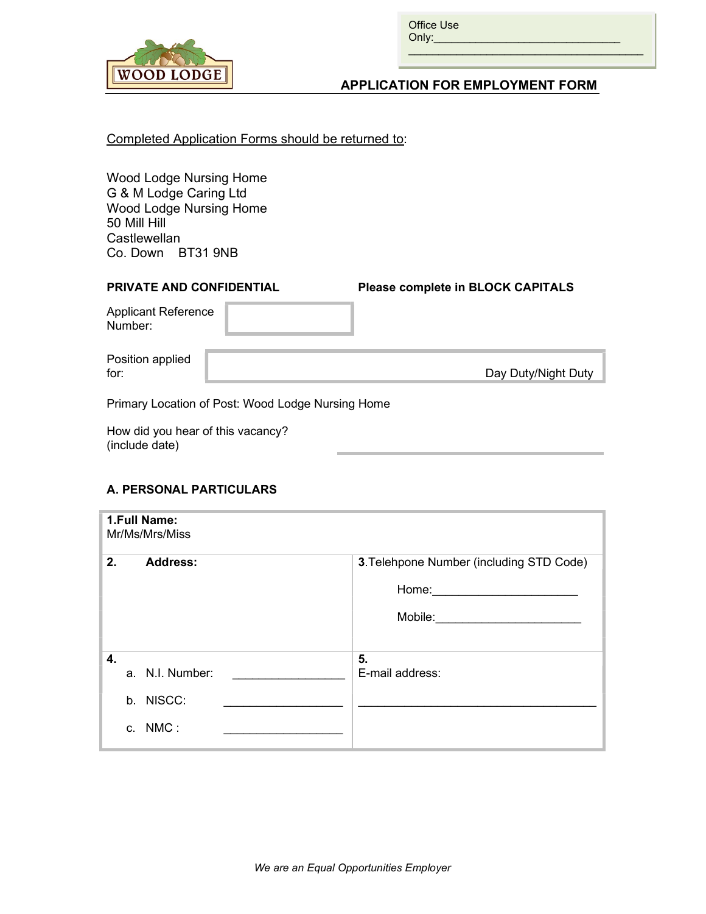

Office Use  $Only:$ 

### APPLICATION FOR EMPLOYMENT FORM

 $\mathcal{L}_\text{max}$  and  $\mathcal{L}_\text{max}$  and  $\mathcal{L}_\text{max}$  and  $\mathcal{L}_\text{max}$  $\mathcal{L}_\text{max}$  and  $\mathcal{L}_\text{max}$  and  $\mathcal{L}_\text{max}$  and  $\mathcal{L}_\text{max}$ 

### Completed Application Forms should be returned to:

Wood Lodge Nursing Home G & M Lodge Caring Ltd Wood Lodge Nursing Home 50 Mill Hill **Castlewellan** Co. Down BT31 9NB

# PRIVATE AND CONFIDENTIAL Please complete in BLOCK CAPITALS Applicant Reference Number: Position applied

for:  $\|\cdot\|$  and  $\|\cdot\|$  and  $\|\cdot\|$  and  $\|\cdot\|$  Day Duty/Night Duty

Primary Location of Post: Wood Lodge Nursing Home

How did you hear of this vacancy? (include date)

### A. PERSONAL PARTICULARS

| 1.Full Name:<br>Mr/Ms/Mrs/Miss |                 |                                          |  |  |
|--------------------------------|-----------------|------------------------------------------|--|--|
| 2.                             | <b>Address:</b> | 3. Telehpone Number (including STD Code) |  |  |
|                                |                 | Home:                                    |  |  |
|                                |                 | Mobile:                                  |  |  |
|                                |                 |                                          |  |  |
| 4.                             |                 | 5.                                       |  |  |
|                                | a. N.I. Number: | E-mail address:                          |  |  |
|                                | b. NISCC:       |                                          |  |  |
|                                | c. NMC:         |                                          |  |  |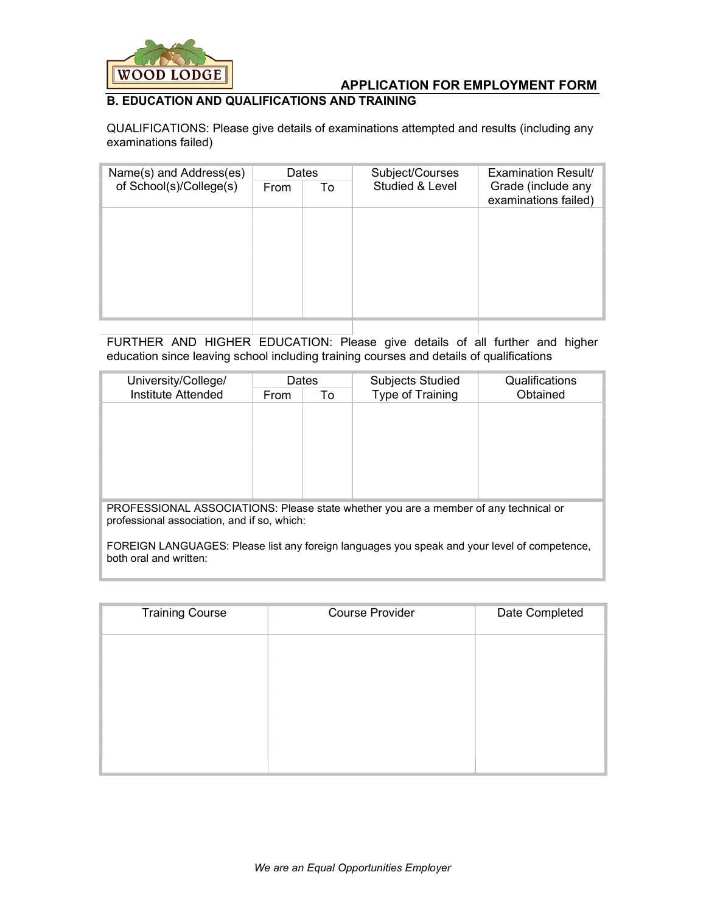

### B. EDUCATION AND QUALIFICATIONS AND TRAINING

QUALIFICATIONS: Please give details of examinations attempted and results (including any examinations failed)

| Name(s) and Address(es) | Dates |    | Subject/Courses | Examination Result/                        |  |
|-------------------------|-------|----|-----------------|--------------------------------------------|--|
| of School(s)/College(s) | From  | To | Studied & Level | Grade (include any<br>examinations failed) |  |
|                         |       |    |                 |                                            |  |
|                         |       |    |                 |                                            |  |
|                         |       |    |                 |                                            |  |
|                         |       |    |                 |                                            |  |
|                         |       |    |                 |                                            |  |
|                         |       |    |                 |                                            |  |

FURTHER AND HIGHER EDUCATION: Please give details of all further and higher education since leaving school including training courses and details of qualifications

| University/College/                                                                                                                 | <b>Dates</b> |    | Subjects Studied | Qualifications |
|-------------------------------------------------------------------------------------------------------------------------------------|--------------|----|------------------|----------------|
| Institute Attended                                                                                                                  | From         | To | Type of Training | Obtained       |
|                                                                                                                                     |              |    |                  |                |
|                                                                                                                                     |              |    |                  |                |
|                                                                                                                                     |              |    |                  |                |
|                                                                                                                                     |              |    |                  |                |
|                                                                                                                                     |              |    |                  |                |
|                                                                                                                                     |              |    |                  |                |
|                                                                                                                                     |              |    |                  |                |
| PROFESSIONAL ASSOCIATIONS: Please state whether you are a member of any technical or<br>professional association, and if so, which: |              |    |                  |                |

FOREIGN LANGUAGES: Please list any foreign languages you speak and your level of competence, both oral and written:

| <b>Training Course</b> | <b>Course Provider</b> | Date Completed |
|------------------------|------------------------|----------------|
|                        |                        |                |
|                        |                        |                |
|                        |                        |                |
|                        |                        |                |
|                        |                        |                |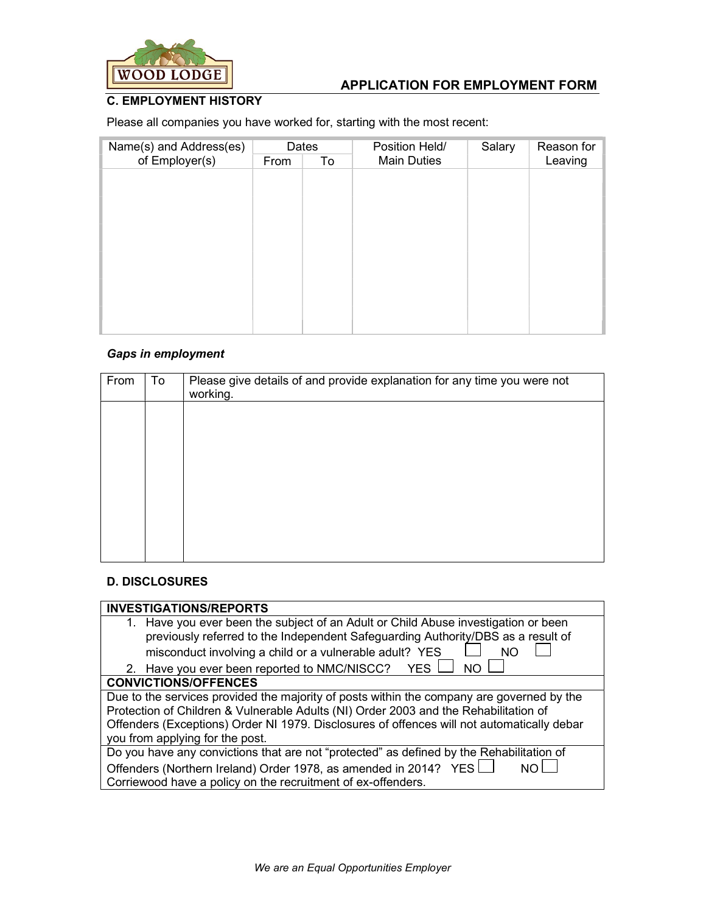

### C. EMPLOYMENT HISTORY

Please all companies you have worked for, starting with the most recent:

| Name(s) and Address(es) | Dates |    | Position Held/     | Salary | Reason for |
|-------------------------|-------|----|--------------------|--------|------------|
| of Employer(s)          | From  | To | <b>Main Duties</b> |        | Leaving    |
|                         |       |    |                    |        |            |
|                         |       |    |                    |        |            |
|                         |       |    |                    |        |            |
|                         |       |    |                    |        |            |
|                         |       |    |                    |        |            |
|                         |       |    |                    |        |            |
|                         |       |    |                    |        |            |
|                         |       |    |                    |        |            |
|                         |       |    |                    |        |            |
|                         |       |    |                    |        |            |
|                         |       |    |                    |        |            |
|                         |       |    |                    |        |            |

### Gaps in employment

| From | To | Please give details of and provide explanation for any time you were not<br>working. |
|------|----|--------------------------------------------------------------------------------------|
|      |    |                                                                                      |
|      |    |                                                                                      |
|      |    |                                                                                      |
|      |    |                                                                                      |
|      |    |                                                                                      |
|      |    |                                                                                      |

### D. DISCLOSURES

| <b>INVESTIGATIONS/REPORTS</b>                                                              |  |  |
|--------------------------------------------------------------------------------------------|--|--|
| 1. Have you ever been the subject of an Adult or Child Abuse investigation or been         |  |  |
| previously referred to the Independent Safeguarding Authority/DBS as a result of           |  |  |
| misconduct involving a child or a vulnerable adult? YES<br>NΟ                              |  |  |
| 2. Have you ever been reported to NMC/NISCC? YES L<br>N <sub>O</sub>                       |  |  |
| <b>CONVICTIONS/OFFENCES</b>                                                                |  |  |
| Due to the services provided the majority of posts within the company are governed by the  |  |  |
| Protection of Children & Vulnerable Adults (NI) Order 2003 and the Rehabilitation of       |  |  |
| Offenders (Exceptions) Order NI 1979. Disclosures of offences will not automatically debar |  |  |
| you from applying for the post.                                                            |  |  |
| Do you have any convictions that are not "protected" as defined by the Rehabilitation of   |  |  |
| Offenders (Northern Ireland) Order 1978, as amended in 2014? YES                           |  |  |
| Corriewood have a policy on the recruitment of ex-offenders.                               |  |  |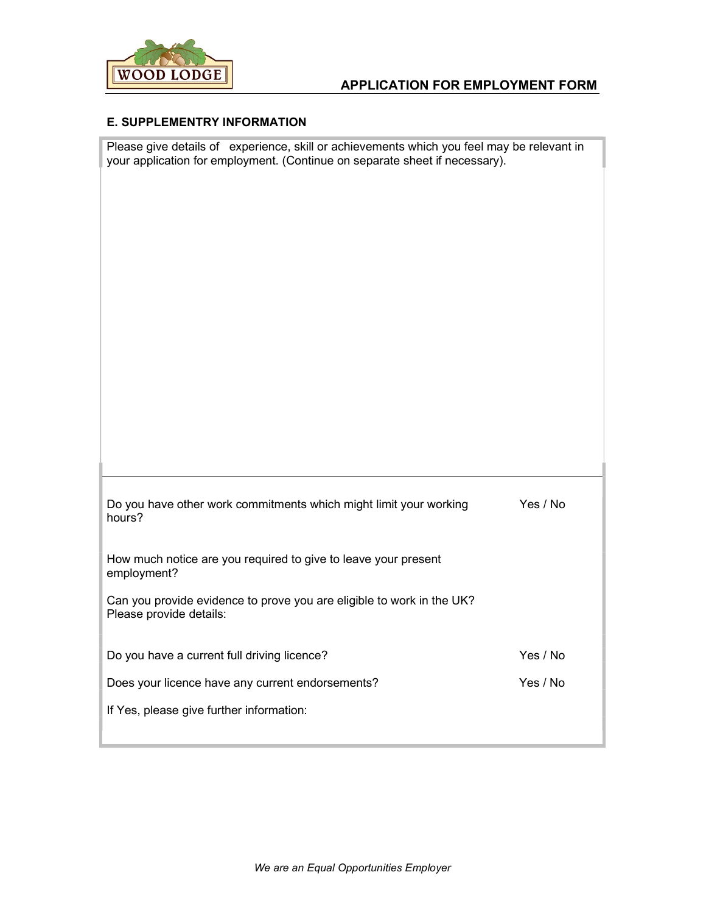

### E. SUPPLEMENTRY INFORMATION

Please give details of experience, skill or achievements which you feel may be relevant in your application for employment. (Continue on separate sheet if necessary).

| Do you have other work commitments which might limit your working<br>hours?                      | Yes / No |
|--------------------------------------------------------------------------------------------------|----------|
| How much notice are you required to give to leave your present<br>employment?                    |          |
| Can you provide evidence to prove you are eligible to work in the UK?<br>Please provide details: |          |
| Do you have a current full driving licence?                                                      | Yes / No |
| Does your licence have any current endorsements?                                                 | Yes / No |
| If Yes, please give further information:                                                         |          |
|                                                                                                  |          |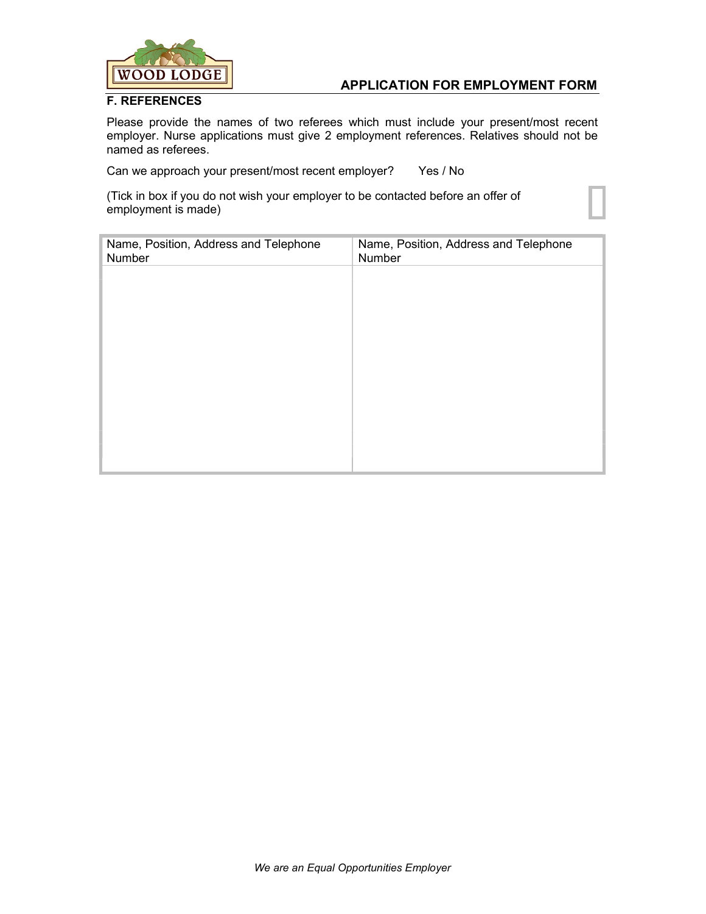

#### F. REFERENCES

Please provide the names of two referees which must include your present/most recent employer. Nurse applications must give 2 employment references. Relatives should not be named as referees.

Can we approach your present/most recent employer? Yes / No

(Tick in box if you do not wish your employer to be contacted before an offer of employment is made)

| Name, Position, Address and Telephone<br>Number | Name, Position, Address and Telephone<br>Number |
|-------------------------------------------------|-------------------------------------------------|
|                                                 |                                                 |
|                                                 |                                                 |
|                                                 |                                                 |
|                                                 |                                                 |
|                                                 |                                                 |
|                                                 |                                                 |
|                                                 |                                                 |
|                                                 |                                                 |